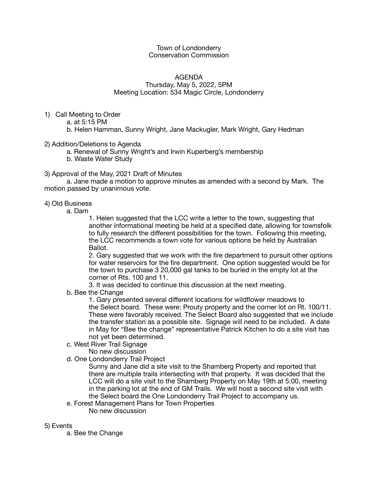## Town of Londonderry Conservation Commission

## AGENDA Thursday, May 5, 2022, 5PM Meeting Location: 534 Magic Circle, Londonderry

- 1) Call Meeting to Order
	- a. at 5:15 PM
	- b. Helen Hamman, Sunny Wright, Jane Mackugler, Mark Wright, Gary Hedman
- 2) Addition/Deletions to Agenda
	- a. Renewal of Sunny Wright's and Irwin Kuperberg's membership
	- b. Waste Water Study
- 3) Approval of the May, 2021 Draft of Minutes

a. Jane made a motion to approve minutes as amended with a second by Mark. The motion passed by unanimous vote.

## 4) Old Business

a. Dam

 1. Helen suggested that the LCC write a letter to the town, suggesting that another informational meeting be held at a specified date, allowing for townsfolk to fully research the different possibilities for the town. Following this meeting, the LCC recommends a town vote for various options be held by Australian Ballot.

 2. Gary suggested that we work with the fire department to pursuit other options for water reservoirs for the fire department. One option suggested would be for the town to purchase 3 20,000 gal tanks to be buried in the empty lot at the corner of Rts. 100 and 11.

 3. It was decided to continue this discussion at the next meeting.

b. Bee the Change

 1. Gary presented several different locations for wildflower meadows to the Select board. These were: Prouty property and the corner lot on Rt. 100/11. These were favorably received. The Select Board also suggested that we include the transfer station as a possible site. Signage will need to be included. A date in May for "Bee the change" representative Patrick Kitchen to do a site visit has not yet been determined.

- c. West River Trail Signage
	- No new discussion
- d. One Londonderry Trail Project

 Sunny and Jane did a site visit to the Shamberg Property and reported that there are multiple trails intersecting with that property. It was decided that the LCC will do a site visit to the Shamberg Property on May 19th at 5:00, meeting in the parking lot at the end of GM Trails. We will host a second site visit with the Select board the One Londonderry Trail Project to accompany us.

- e. Forest Management Plans for Town Properties
	- No new discussion

## 5) Events

a. Bee the Change